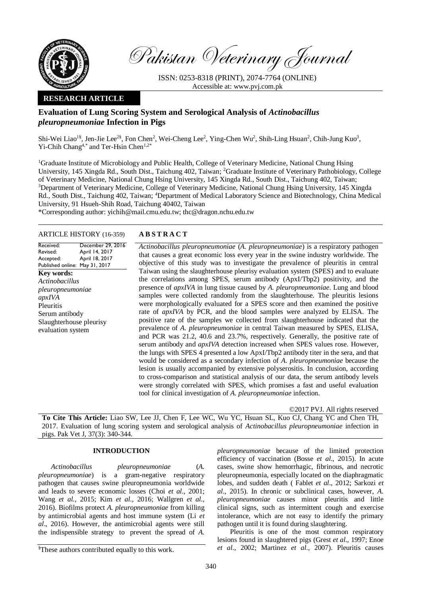

Pakistan Veterinary Journal

ISSN: 0253-8318 (PRINT), 2074-7764 (ONLINE) Accessible at: [www.pvj.com.pk](http://www.pvj.com.pk/)

# **RESEARCH ARTICLE**

# **Evaluation of Lung Scoring System and Serological Analysis of** *Actinobacillus pleuropneumoniae* **Infection in Pigs**

Shi-Wei Liao<sup>1§</sup>, Jen-Jie Lee<sup>2§</sup>, Fon Chen<sup>2</sup>, Wei-Cheng Lee<sup>2</sup>, Ying-Chen Wu<sup>2</sup>, Shih-Ling Hsuan<sup>2</sup>, Chih-Jung Kuo<sup>3</sup>, Yi-Chih Chang<sup>4,\*</sup> and Ter-Hsin Chen<sup>1,2\*</sup>

<sup>1</sup>Graduate Institute of Microbiology and Public Health, College of Veterinary Medicine, National Chung Hsing University, 145 Xingda Rd., South Dist., Taichung 402, Taiwan; <sup>2</sup>Graduate Institute of Veterinary Pathobiology, College of Veterinary Medicine, National Chung Hsing University, 145 Xingda Rd., South Dist., Taichung 402, Taiwan; <sup>3</sup>Department of Veterinary Medicine, College of Veterinary Medicine, National Chung Hsing University, 145 Xingda Rd., South Dist., Taichung 402, Taiwan; <sup>4</sup>Department of Medical Laboratory Science and Biotechnology, China Medical University, 91 Hsueh-Shih Road, Taichung 40402, Taiwan

\*Corresponding author: yichih@mail.cmu.edu.tw; thc@dragon.nchu.edu.tw

### ARTICLE HISTORY (16-359) **A B S T R A C T**

Received: Revised: Accepted: Published online: May 31, 2017 December 29, 2016 April 14, 2017 April 18, 2017 **Key words:**  *Actinobacillus pleuropneumoniae apxIVA* Pleuritis Serum antibody Slaughterhouse pleurisy evaluation system

*Actinobacillus pleuropneumoniae* (*A. pleuropneumoniae*) is a respiratory pathogen that causes a great economic loss every year in the swine industry worldwide. The objective of this study was to investigate the prevalence of pleuritis in central Taiwan using the slaughterhouse pleurisy evaluation system (SPES) and to evaluate the correlations among SPES, serum antibody (ApxI/Tbp2) positivity, and the presence of *apxIVA* in lung tissue caused by *A. pleuropneumoniae*. Lung and blood samples were collected randomly from the slaughterhouse. The pleuritis lesions were morphologically evaluated for a SPES score and then examined the positive rate of *apxIVA* by PCR, and the blood samples were analyzed by ELISA. The positive rate of the samples we collected from slaughterhouse indicated that the prevalence of *A. pleuropneumoniae* in central Taiwan measured by SPES, ELISA, and PCR was 21.2, 40.6 and 23.7%, respectively. Generally, the positive rate of serum antibody and *apxIVA* detection increased when SPES values rose. However, the lungs with SPES 4 presented a low ApxI/Tbp2 antibody titer in the sera, and that would be considered as a secondary infection of *A. pleuropneumoniae* because the lesion is usually accompanied by extensive polyserositis. In conclusion, according to cross-comparison and statistical analysis of our data, the serum antibody levels were strongly correlated with SPES, which promises a fast and useful evaluation tool for clinical investigation of *A. pleuropneumoniae* infection.

©2017 PVJ. All rights reserved

**To Cite This Article:** Liao SW, Lee JJ, Chen F, Lee WC, Wu YC, Hsuan SL, Kuo CJ, Chang YC and Chen TH, 2017. Evaluation of lung scoring system and serological analysis of *Actinobacillus pleuropneumoniae* infection in pigs. Pak Vet J, 37(3): 340-344.

## **INTRODUCTION**

*Actinobacillus pleuropneumoniae* (*A. pleuropneumoniae*) is a gram-negative respiratory pathogen that causes swine pleuropneumonia worldwide and leads to severe economic losses (Choi *et al*., 2001; Wang *et al.*, 2015; Kim *et al*., 2016; Wallgren *et al*., 2016). Biofilms protect *A. pleuropneumoniae* from killing by antimicrobial agents and host immune system (Li *et al*., 2016). However, the antimicrobial agents were still the indispensible strategy to prevent the spread of *A.*

*pleuropneumoniae* because of the limited protection efficiency of vaccination (Bosse *et al*., 2015). In acute cases, swine show hemorrhagic, fibrinous, and necrotic pleuropneumonia, especially located on the diaphragmatic lobes, and sudden death ( Fablet *et al*., 2012; Sarkozi *et al*., 2015). In chronic or subclinical cases, however, *A. pleuropneumoniae* causes minor pleuritis and little clinical signs, such as intermittent cough and exercise intolerance, which are not easy to identify the primary pathogen until it is found during slaughtering.

Pleuritis is one of the most common respiratory lesions found in slaughtered pigs (Grest *et al*., 1997; Enoe *et al*., 2002; Martinez *et al*., 2007). Pleuritis causes

<sup>§</sup>These authors contributed equally to this work.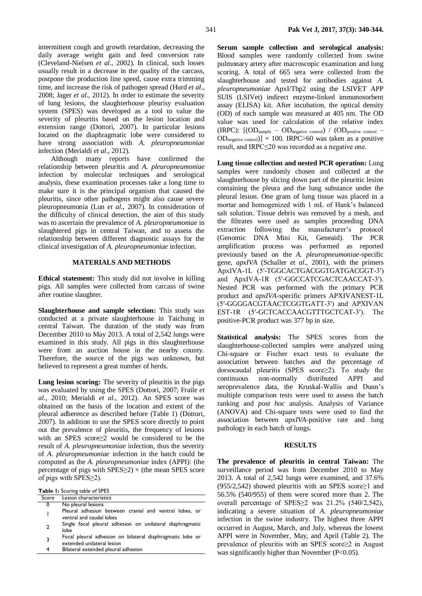intermittent cough and growth retardation, decreasing the daily average weight gain and feed conversion rate (Cleveland-Nielsen *et al*., 2002). In clinical, such losses usually result in a decrease in the quality of the carcass, postpone the production line speed, cause extra trimming time, and increase the risk of pathogen spread (Hurd *et al*., 2008; Jager *et al*., 2012). In order to estimate the severity of lung lesions, the slaughterhouse pleurisy evaluation system (SPES) was developed as a tool to value the severity of pleuritis based on the lesion location and extension range (Dottori, 2007). In particular lesions located on the diaphragmatic lobe were considered to have strong association with *A. pleuropneumoniae* infection (Merialdi *et al*., 2012).

Although many reports have confirmed the relationship between pleuritis and *A. pleuropneumoniae* infection by molecular techniques and serological analysis, these examination processes take a long time to make sure it is the principal organism that caused the pleuritis, since other pathogens might also cause severe pleuropneumonia (Lun *et al*., 2007). In consideration of the difficulty of clinical detection, the aim of this study was to ascertain the prevalence of *A. pleuropneumoniae* in slaughtered pigs in central Taiwan, and to assess the relationship between different diagnostic assays for the clinical investigation of *A. pleuropneumoniae* infection.

## **MATERIALS AND METHODS**

**Ethical statement:** This study did not involve in killing pigs. All samples were collected from carcass of swine after routine slaughter.

**Slaughterhouse and sample selection:** This study was conducted at a private slaughterhouse in Taichung in central Taiwan. The duration of the study was from December 2010 to May 2013. A total of 2,542 lungs were examined in this study. All pigs in this slaughterhouse were from an auction house in the nearby county. Therefore, the source of the pigs was unknown, but believed to represent a great number of herds.

**Lung lesion scoring:** The severity of pleuritis in the pigs was evaluated by using the SPES (Dottori, 2007; Fraile *et al*., 2010; Merialdi *et al*., 2012). An SPES score was obtained on the basis of the location and extent of the pleural adherence as described before (Table 1) (Dottori, 2007). In addition to use the SPES score directly to point out the prevalence of pleuritis, the frequency of lesions with an SPES score≥2 would be considered to be the result of *A. pleuropneumoniae* infection, thus the severity of *A. pleuropneumoniae* infection in the batch could be computed as the *A. pleuropneumoniae* index (APPI): (the percentage of pigs with  $SPES \geq 2$ ) × (the mean SPES score of pigs with SPES≥2).

**Table 1:** Scoring table of SPES

| <b>EXAMPLE 1:</b> SCOTTING CADIL OF STILLS |                                                                                         |  |  |  |  |  |
|--------------------------------------------|-----------------------------------------------------------------------------------------|--|--|--|--|--|
| Score                                      | Lesion characteristics                                                                  |  |  |  |  |  |
| 0                                          | No pleural lesions                                                                      |  |  |  |  |  |
|                                            | Pleural adhesion between cranial and ventral lobes, or<br>ventral and caudal lobes      |  |  |  |  |  |
| 2                                          | Single focal pleural adhesion on unilateral diaphragmatic<br>lobe                       |  |  |  |  |  |
| 3                                          | Focal pleural adhesion on bilateral diaphragmatic lobe or<br>extended unilateral lesion |  |  |  |  |  |
| 4                                          | Bilateral extended pleural adhesion                                                     |  |  |  |  |  |

**Serum sample collection and serological analysis:**  Blood samples were randomly collected from swine pulmonary artery after macroscopic examination and lung scoring. A total of 665 sera were collected from the slaughterhouse and tested for antibodies against *A. pleuropneumoniae* ApxI/Tbp2 using the LSIVET APP SUIS (LSIVet) indirect enzyme-linked immunosorbent assay (ELISA) kit. After incubation, the optical density (OD) of each sample was measured at 405 nm. The OD value was used for calculation of the relative index (IRPC):  $[ (OD<sub>sample</sub> - OD<sub>negative control</sub>) / (OD<sub>positive control</sub> -]$ OD<sub>negative control</sub>)]  $\times$  100. IRPC>60 was taken as a positive result, and IRPC≤20 was recorded as a negative one.

**Lung tissue collection and nested PCR operation:** Lung samples were randomly chosen and collected at the slaughterhouse by slicing down part of the pleuritic lesion containing the pleura and the lung substance under the pleural lesion. One gram of lung tissue was placed in a mortar and homogenized with 1 mL of Hank's balanced salt solution. Tissue debris was removed by a mesh, and the filtrates were used as samples proceeding DNA extraction following the manufacturer's protocol (Genomic DNA Mini Kit, Geneaid). The PCR amplification process was performed as reported previously based on the *A. pleuropneumoniae*-specific gene, *apxIVA* (Schaller *et al*., 2001), with the primers ApxIVA-1L (5′-TGGCACTGACGGTGATGACGGT-3′) and ApxIVA-1R (5′-GGCCATCGACTCAACCAT-3′). Nested PCR was performed with the primary PCR product and *apxIVA*-specific primers APXIVANEST-1L (5′-GGGGACGTAACTCGGTGATT-3′) and APXIVAN EST-1R (5′-GCTCACCAACGTTTGCTCAT-3′). The positive-PCR product was 377 bp in size.

**Statistical analysis:** The SPES scores from the slaughterhouse-collected samples were analyzed using Chi-square or Fischer exact tests to evaluate the association between batches and the percentage of dorsocaudal pleuritis (SPES score≥2). To study the continuous non-normally distributed APPI and seroprevalence data, the Kruskal-Wallis and Dunn's multiple comparison tests were used to assess the batch ranking and *post hoc* analysis. Analysis of Variance (ANOVA) and Chi-square tests were used to find the association between *apxIVA*-positive rate and lung pathology in each batch of lungs.

## **RESULTS**

**The prevalence of pleuritis in central Taiwan:** The surveillance period was from December 2010 to May 2013. A total of 2,542 lungs were examined, and 37.6% (955/2,542) showed pleuritis with an SPES score≥1 and 56.5% (540/955) of them were scored more than 2. The overall percentage of SPES $\geq$ 2 was 21.2% (540/2,542), indicating a severe situation of *A. pleuropneumoniae* infection in the swine industry. The highest three APPI occurred in August, March, and July, whereas the lowest APPI were in November, May, and April (Table 2). The prevalence of pleuritis with an SPES score≥2 in August was significantly higher than November (P<0.05).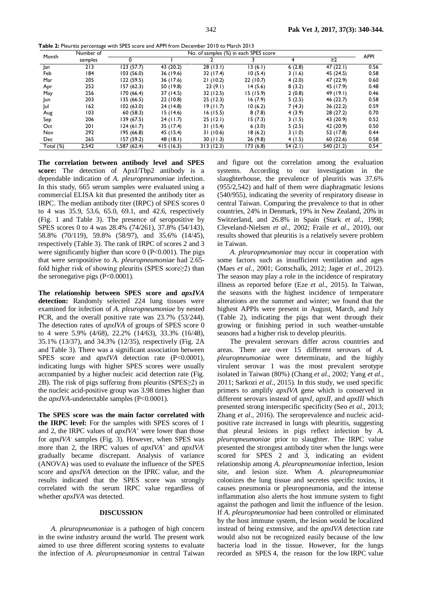**Table 2:** Pleuritis percentage with SPES score and APPI from December 2010 to March 2013

| Month     | Number of | No. of samples (%) in each SPES score |           |           |           |         |            | <b>APPI</b> |
|-----------|-----------|---------------------------------------|-----------|-----------|-----------|---------|------------|-------------|
|           | samples   |                                       |           |           |           |         | $\geq$ 2   |             |
| Jan       | 213       | 123(57.7)                             | 43 (20.2) | 28(13.1)  | 13(6.1)   | 6(2.8)  | 47(22.1)   | 0.56        |
| Feb       | 184       | 103(56.0)                             | 36 (19.6) | 32 (17.4) | 10(5.4)   | 3(1.6)  | 45 (24.5)  | 0.58        |
| Mar       | 205       | 122(59.5)                             | 36 (17.6) | 21(10.2)  | 22(10.7)  | 4(2.0)  | 47 (22.9)  | 0.60        |
| Apr       | 252       | 157 (62.3)                            | 50 (19.8) | 23(9.1)   | 14(5.6)   | 8(3.2)  | 45 (17.9)  | 0.48        |
| May       | 256       | 170 (66.4)                            | 37 (14.5) | 32(12.5)  | 15 (15.9) | 2(0.8)  | 49 (19.1)  | 0.46        |
| Jun       | 203       | 135 (66.5)                            | 22(10.8)  | 25(12.3)  | 16(7.9)   | 5(2.5)  | 46 (22.7)  | 0.58        |
| Jul       | 162       | 102(63.0)                             | 24 (14.8) | 19 (11.7) | 10(6.2)   | 7(4.3)  | 36 (22.2)  | 0.59        |
| Aug       | 103       | 60(58.3)                              | 15(14.6)  | 16 (15.5) | 8(7.8)    | 4(3.9)  | 28 (27.2)  | 0.70        |
| Sep       | 206       | 139 (67.5)                            | 24(11.7)  | 25(12.1)  | 15(7.3)   | 3(1.5)  | 43 (20.9)  | 0.52        |
| Oct       | 201       | 124(61.7)                             | 35 (17.4) | 31(15.4)  | 6(3.0)    | 5(2.5)  | 42 (20.9)  | 0.50        |
| Nov       | 292       | 195 (66.8)                            | 45 (15.4) | 31(10.6)  | 18(6.2)   | 3(1.0)  | 52 (17.8)  | 0.44        |
| Dec       | 265       | 157 (59.2)                            | 48(18.1)  | 30(11.3)  | 26(9.8)   | 4(1.5)  | 60(22.6)   | 0.58        |
| Total (%) | 2,542     | (62.4) 587.                           | 415(16.3) | 313(12.3) | 173 (6.8) | 54(2.1) | 540 (21.2) | 0.54        |

**The correlation between antibody level and SPES score:** The detection of ApxI/Tbp2 antibody is a dependable indication of *A. pleuropneumoniae* infection. In this study, 665 serum samples were evaluated using a commercial ELISA kit that presented the antibody titer as IRPC. The median antibody titer (IRPC) of SPES scores 0 to 4 was 35.9, 53.6, 65.0, 69.1, and 42.6, respectively (Fig. 1 and Table 3). The presence of seropositive by SPES scores 0 to 4 was 28.4% (74/261), 37.8% (54/143), 58.8% (70/119), 59.8% (58/97), and 35.6% (14/45), respectively (Table 3). The rank of IRPC of scores 2 and 3 were significantly higher than score  $0$  (P<0.001). The pigs that were seropositive to A. *pleuropneumoniae* had 2.65 fold higher risk of showing pleuritis (SPES score≥2) than the seronegative pigs (P<0.0001).

**The relationship between SPES score and** *apxIVA* detection: Randomly selected 224 lung tissues were examined for infection of *A. pleuropneumoniae* by nested PCR, and the overall positive rate was 23.7% (53/244). The detection rates of *apxIVA* of groups of SPES score 0 to 4 were 5.9% (4/68), 22.2% (14/63), 33.3% (16/48), 35.1% (13/37), and 34.3% (12/35), respectively (Fig. 2A and Table 3). There was a significant association between SPES score and *apxIVA* detection rate (P<0.0001), indicating lungs with higher SPES scores were usually accompanied by a higher nucleic acid detection rate (Fig. 2B). The risk of pigs suffering from pleuritis (SPES≥2) in the nucleic acid-positive group was 3.98 times higher than the *apxIVA*-undetectable samples (P<0.0001).

**The SPES score was the main factor correlated with the IRPC level:** For the samples with SPES scores of 1 and 2, the IRPC values of *apxIVA*<sup>+</sup> were lower than those for *apxIVA*-samples (Fig. 3). However, when SPES was more than 2, the IRPC values of  $apxIVA$ <sup>+</sup> and  $apxIVA$ <sup>-</sup> gradually became discrepant. Analysis of variance (ANOVA) was used to evaluate the influence of the SPES score and *apxIVA* detection on the IPRC value, and the results indicated that the SPES score was strongly correlated with the serum IRPC value regardless of whether *apxIVA* was detected.

#### **DISCUSSION**

*A. pleuropneumoniae* is a pathogen of high concern in the swine industry around the world. The present work aimed to use three different scoring systems to evaluate the infection of *A. pleuropneumoniae* in central Taiwan

and figure out the correlation among the evaluation systems. According to our investigation in the slaughterhouse, the prevalence of pleuritis was 37.6% (955/2,542) and half of them were diaphragmatic lesions (540/955), indicating the severity of respiratory disease in central Taiwan. Comparing the prevalence to that in other countries, 24% in Denmark, 19% in New Zealand, 20% in Switzerland, and 26.8% in Spain (Stark *et al*., 1998; Cleveland-Nielsen *et al*., 2002; Fraile *et al*., 2010), our results showed that pleuritis is a relatively severe problem in Taiwan.

*A. pleuropneumoniae* may occur in cooperation with some factors such as insufficient ventilation and ages (Maes *et al*., 2001; Gottschalk, 2012; Jager *et al*., 2012). The season may play a role in the incidence of respiratory illness as reported before (Eze *et al*., 2015). In Taiwan, the seasons with the highest incidence of temperature alterations are the summer and winter; we found that the highest APPIs were present in August, March, and July (Table 2), indicating the pigs that went through their growing or finishing period in such weather-unstable seasons had a higher risk to develop pleuritis.

The prevalent serovars differ across countries and areas. There are over 15 different serovars of *A. pleuropneumoniae* were determinate, and the highly virulent serovar 1 was the most prevalent serotype isolated in Taiwan (80%) (Chang *et al*., 2002; Yang *et al*., 2011; Sarkozi *et al*., 2015). In this study, we used specific primers to amplify *apxIVA* gene which is conserved in different serovars instead of *apxI*, *apxII*, and *apxIII* which presented strong interspecific specificity (Seo *et al*., 2013; Zhang *et al*., 2016). The seroprevalence and nucleic acidpositive rate increased in lungs with pleuritis, suggesting that pleural lesions in pigs reflect infection by *A. pleuropneumoniae* prior to slaughter. The IRPC value presented the strongest antibody titer when the lungs were scored for SPES 2 and 3, indicating an evident relationship among *A. pleuropneumoniae* infection, lesion site, and lesion size. When *A. pleuropneumoniae* colonizes the lung tissue and secretes specific toxins, it causes pneumonia or pleuropneumonia, and the intense inflammation also alerts the host immune system to fight against the pathogen and limit the influence of the lesion. If *A. pleuropneumoniae* had been controlled or eliminated by the host immune system, the lesion would be localized instead of being extensive, and the *apxIVA* detection rate would also not be recognized easily because of the low bacteria load in the tissue. However, for the lungs recorded as SPES 4, the reason for the low IRPC value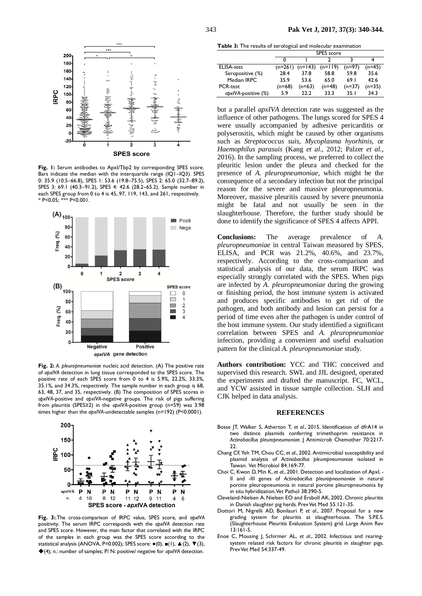

**Fig. 1:** Serum antibodies to ApxI/Tbp2 by corresponding SPES score. Bars indicate the median with the interquartile range (IQ1-IQ3). SPES 0: 35.9 (10.5–66.8), SPES 1: 53.6 (19.8–75.5), SPES 2: 65.0 (32.7–89.2), SPES 3: 69.1 (40.3–91.2), SPES 4: 42.6 (28.2–65.2). Sample number in each SPES group from 0 to 4 is 45, 97, 119, 143, and 261, respectively. \* P<0.05; \*\*\* P<0.001.



**Fig. 2:** *A. pleuropneumoniae* nucleic acid detection. (A) The positive rate of *apxIVA* detection in lung tissue corresponded to the SPES score. The positive rate of each SPES score from 0 to 4 is 5.9%, 22.2%, 33.3%, 35.1%, and 34.3%, respectively. The sample number in each group is 68, 63, 48, 37, and 35, respectively. (B) The composition of SPES scores in *apxIVA*-positive and *apxIVA*-negative groups. The risk of pigs suffering from pleuritis (SPES≥2) in the *apxIVA*-positive group (n=59) was 3.98 times higher than the *apxIVA*-undetectable samples (n=192) (P<0.0001).



**Fig. 3:**.The cross-comparison of IRPC value, SPES score, and *apxIVA*  positivity. The serum IRPC corresponds with the *apxIVA* detection rate and SPES score. However, the main factor that correlated with the IRPC of the samples in each group was the SPES score according to the statistical analysis (ANOVA, P=0.002); SPES score:  $\bullet$ (0),  $\blacksquare(1)$ ,  $\blacktriangle$  (2),  $\blacktriangledown$  (3), ◆(4); n.: number of samples; P/ N: positive/ negative for *apxIVA* detection.

**Table 3:** The results of serological and molecular examination

|                     | <b>SPES</b> score |                     |           |          |        |  |  |  |
|---------------------|-------------------|---------------------|-----------|----------|--------|--|--|--|
|                     |                   |                     |           |          |        |  |  |  |
| ELISA-test          |                   | $(n=261)$ $(n=143)$ | $(n=119)$ | $(n=97)$ | (n=45) |  |  |  |
| Seropositive (%)    | 28.4              | 37.8                | 58.8      | 59.8     | 35.6   |  |  |  |
| Median IRPC         | 35.9              | 53.6                | 65.0      | 69.I     | 42.6   |  |  |  |
| PCR-test            | $(n=68)$          | $(n=63)$            | $(n=48)$  | $(n=37)$ | (n=35) |  |  |  |
| apxIVA-positive (%) | 5.9               | วว ว                | 33.3      | 35 I     | 34.3   |  |  |  |

but a parallel *apxIVA* detection rate was suggested as the influence of other pathogens. The lungs scored for SPES 4 were usually accompanied by adhesive pericarditis or polyserositis, which might be caused by other organisms such as *Streptococcus suis*, *Mycoplasma hyorhinis*, or *Haemophilus parasuis* (Kang *et al*., 2012; Palzer *et al*., 2016). In the sampling process, we preferred to collect the pleuritic lesion under the pleura and checked for the presence of *A. pleuropneumoniae*, which might be the consequence of a secondary infection but not the principal reason for the severe and massive pleuropneumonia. Moreover, massive pleuritis caused by severe pneumonia might be fatal and not usually be seen in the slaughterhouse. Therefore, the further study should be done to identify the significance of SPES 4 affects APPI.

**Conclusions:** The average prevalence of *A. pleuropneumoniae* in central Taiwan measured by SPES, ELISA, and PCR was 21.2%, 40.6%, and 23.7%, respectively. According to the cross-comparison and statistical analysis of our data, the serum IRPC was especially strongly correlated with the SPES. When pigs are infected by *A. pleuropneumoniae* during the growing or finishing period, the host immune system is activated and produces specific antibodies to get rid of the pathogen, and both antibody and lesion can persist for a period of time even after the pathogen is under control of the host immune system. Our study identified a significant correlation between SPES and *A. pleuropneumoniae* infection, providing a convenient and useful evaluation pattern for the clinical *A. pleuropneumoniae* study.

**Authors contribution:** YCC and THC conceived and supervised this research. SWL and JJL designed, operated the experiments and drafted the manuscript. FC, WCL, and YCW assisted in tissue sample collection. SLH and CJK helped in data analysis.

#### **REFERENCES**

- Bosse JT, Walker S, Atherton T, *et al*., 2015. Identification of dfrA14 in two distince plasmids conferring trimethoprim resistance in *Actinobacillus pleuropneumoniae*. J Antimicrob Chemother 70:2217- 22.
- Chang CF, Yeh TM, Chou CC, *et al*., 2002. Antimicrobial susceptibility and plasmid analysis of *Actinobacillus pleuropneumoniae* isolated in Taiwan. Vet Microbiol 84:169-77.
- Choi C, Kwon D, Min K, *et al*., 2001. Detection and localization of ApxI, II and -III genes of *Actinobacillus pleuropneumoniae* in natural porcine pleuropneumonia in natural porcine pleuropneumonia by in situ hybridization. Vet Pathol 38:390-5.
- Cleveland-Nielsen A, Nielsen EO and Ersboll AK, 2002. Chronic pleuritis in Danish slaughter pig herds. Prev Vet Med 55:121-35.
- Dottori M, Nigrelli AD, Bonilauri P, *et al*., 2007. Proposal for a new grading system for pleuritis at slaughterhouse. The S.P.E.S. (Slaughterhouse Pleuritis Evaluation System) grid. Large Anim Rev 13:161-5.
- Enoe C, Mousing J, Schirmer AL, *et al*., 2002. Infectious and rearingsystem related risk factors for chronic pleuritis in slaughter pigs. Prev Vet Med 54:337-49.